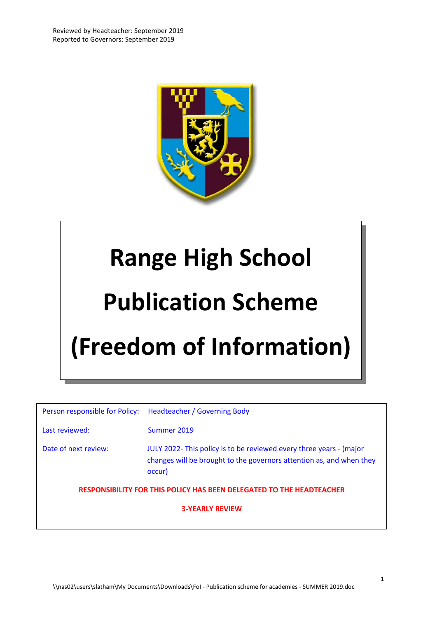

# **Range High School Publication Scheme (Freedom of Information)**

|                                                                      | Person responsible for Policy: Headteacher / Governing Body                                                                                           |  |  |
|----------------------------------------------------------------------|-------------------------------------------------------------------------------------------------------------------------------------------------------|--|--|
| Last reviewed:                                                       | Summer 2019                                                                                                                                           |  |  |
| Date of next review:                                                 | JULY 2022- This policy is to be reviewed every three years - (major<br>changes will be brought to the governors attention as, and when they<br>occur) |  |  |
| RESPONSIBILITY FOR THIS POLICY HAS BEEN DELEGATED TO THE HEADTEACHER |                                                                                                                                                       |  |  |
| <b>3-YEARLY REVIEW</b>                                               |                                                                                                                                                       |  |  |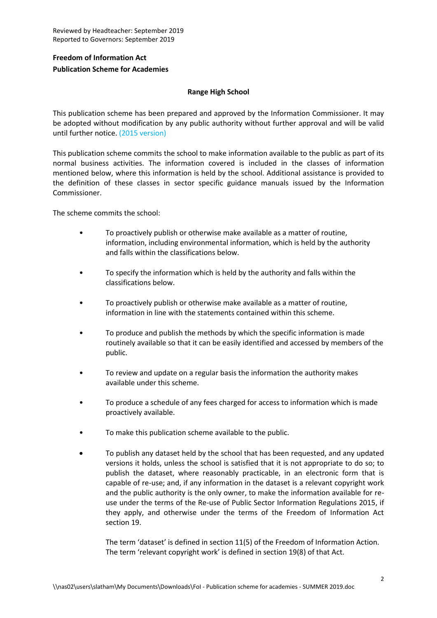## **Freedom of Information Act Publication Scheme for Academies**

### **Range High School**

This publication scheme has been prepared and approved by the Information Commissioner. It may be adopted without modification by any public authority without further approval and will be valid until further notice. (2015 version)

This publication scheme commits the school to make information available to the public as part of its normal business activities. The information covered is included in the classes of information mentioned below, where this information is held by the school. Additional assistance is provided to the definition of these classes in sector specific guidance manuals issued by the Information Commissioner.

The scheme commits the school:

- To proactively publish or otherwise make available as a matter of routine, information, including environmental information, which is held by the authority and falls within the classifications below.
- To specify the information which is held by the authority and falls within the classifications below.
- To proactively publish or otherwise make available as a matter of routine, information in line with the statements contained within this scheme.
- To produce and publish the methods by which the specific information is made routinely available so that it can be easily identified and accessed by members of the public.
- To review and update on a regular basis the information the authority makes available under this scheme.
- To produce a schedule of any fees charged for access to information which is made proactively available.
- To make this publication scheme available to the public.
- To publish any dataset held by the school that has been requested, and any updated versions it holds, unless the school is satisfied that it is not appropriate to do so; to publish the dataset, where reasonably practicable, in an electronic form that is capable of re-use; and, if any information in the dataset is a relevant copyright work and the public authority is the only owner, to make the information available for reuse under the terms of the Re-use of Public Sector Information Regulations 2015, if they apply, and otherwise under the terms of the Freedom of Information Act section 19.

The term 'dataset' is defined in section 11(5) of the Freedom of Information Action. The term 'relevant copyright work' is defined in section 19(8) of that Act.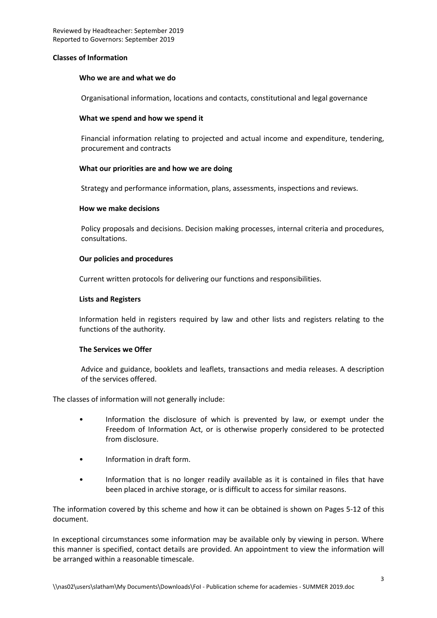#### **Classes of Information**

#### **Who we are and what we do**

Organisational information, locations and contacts, constitutional and legal governance

#### **What we spend and how we spend it**

Financial information relating to projected and actual income and expenditure, tendering, procurement and contracts

#### **What our priorities are and how we are doing**

Strategy and performance information, plans, assessments, inspections and reviews.

#### **How we make decisions**

Policy proposals and decisions. Decision making processes, internal criteria and procedures, consultations.

#### **Our policies and procedures**

Current written protocols for delivering our functions and responsibilities.

#### **Lists and Registers**

Information held in registers required by law and other lists and registers relating to the functions of the authority.

#### **The Services we Offer**

Advice and guidance, booklets and leaflets, transactions and media releases. A description of the services offered.

The classes of information will not generally include:

- Information the disclosure of which is prevented by law, or exempt under the Freedom of Information Act, or is otherwise properly considered to be protected from disclosure.
- Information in draft form.
- Information that is no longer readily available as it is contained in files that have been placed in archive storage, or is difficult to access for similar reasons.

The information covered by this scheme and how it can be obtained is shown on Pages 5-12 of this document.

In exceptional circumstances some information may be available only by viewing in person. Where this manner is specified, contact details are provided. An appointment to view the information will be arranged within a reasonable timescale.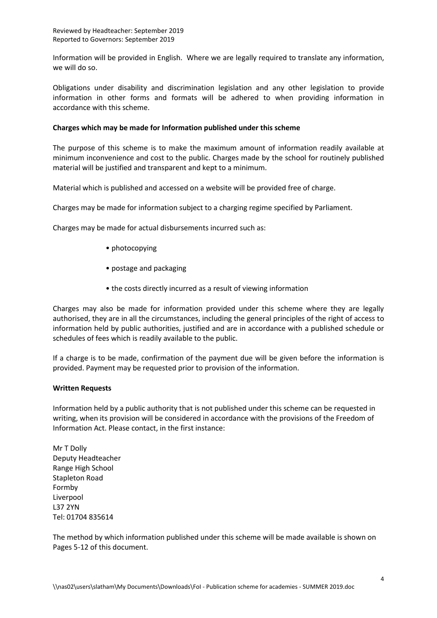Information will be provided in English. Where we are legally required to translate any information, we will do so.

Obligations under disability and discrimination legislation and any other legislation to provide information in other forms and formats will be adhered to when providing information in accordance with this scheme.

#### **Charges which may be made for Information published under this scheme**

The purpose of this scheme is to make the maximum amount of information readily available at minimum inconvenience and cost to the public. Charges made by the school for routinely published material will be justified and transparent and kept to a minimum.

Material which is published and accessed on a website will be provided free of charge.

Charges may be made for information subject to a charging regime specified by Parliament.

Charges may be made for actual disbursements incurred such as:

- photocopying
- postage and packaging
- the costs directly incurred as a result of viewing information

Charges may also be made for information provided under this scheme where they are legally authorised, they are in all the circumstances, including the general principles of the right of access to information held by public authorities, justified and are in accordance with a published schedule or schedules of fees which is readily available to the public.

If a charge is to be made, confirmation of the payment due will be given before the information is provided. Payment may be requested prior to provision of the information.

#### **Written Requests**

Information held by a public authority that is not published under this scheme can be requested in writing, when its provision will be considered in accordance with the provisions of the Freedom of Information Act. Please contact, in the first instance:

Mr T Dolly Deputy Headteacher Range High School Stapleton Road Formby Liverpool L37 2YN Tel: 01704 835614

The method by which information published under this scheme will be made available is shown on Pages 5-12 of this document.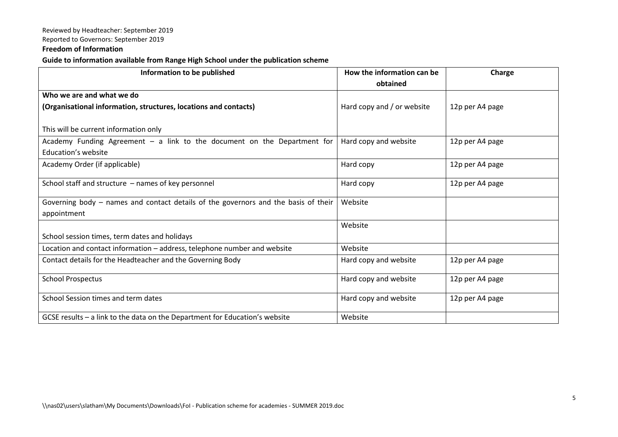Reported to Governors: September 2019

## **Freedom of Information**

**Guide to information available from Range High School under the publication scheme**

| Information to be published                                                        | How the information can be | Charge          |
|------------------------------------------------------------------------------------|----------------------------|-----------------|
|                                                                                    | obtained                   |                 |
| Who we are and what we do                                                          |                            |                 |
| (Organisational information, structures, locations and contacts)                   | Hard copy and / or website | 12p per A4 page |
|                                                                                    |                            |                 |
| This will be current information only                                              |                            |                 |
| Academy Funding Agreement - a link to the document on the Department for           | Hard copy and website      | 12p per A4 page |
| Education's website                                                                |                            |                 |
| Academy Order (if applicable)                                                      | Hard copy                  | 12p per A4 page |
|                                                                                    |                            |                 |
| School staff and structure - names of key personnel                                | Hard copy                  | 12p per A4 page |
| Governing body - names and contact details of the governors and the basis of their | Website                    |                 |
| appointment                                                                        |                            |                 |
|                                                                                    | Website                    |                 |
| School session times, term dates and holidays                                      |                            |                 |
| Location and contact information - address, telephone number and website           | Website                    |                 |
| Contact details for the Headteacher and the Governing Body                         | Hard copy and website      | 12p per A4 page |
|                                                                                    |                            |                 |
| <b>School Prospectus</b>                                                           | Hard copy and website      | 12p per A4 page |
| School Session times and term dates                                                | Hard copy and website      | 12p per A4 page |
|                                                                                    |                            |                 |
| GCSE results - a link to the data on the Department for Education's website        | Website                    |                 |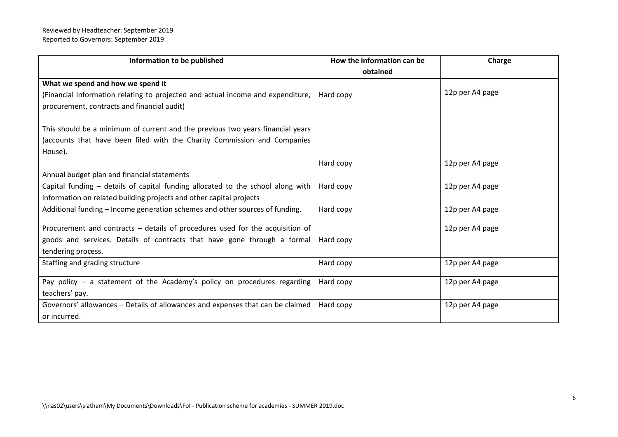#### Reviewed by Headteacher: September 2019 Reported to Governors: September 2019

| Information to be published                                                     | How the information can be | Charge          |
|---------------------------------------------------------------------------------|----------------------------|-----------------|
|                                                                                 | obtained                   |                 |
| What we spend and how we spend it                                               |                            |                 |
| (Financial information relating to projected and actual income and expenditure, | Hard copy                  | 12p per A4 page |
| procurement, contracts and financial audit)                                     |                            |                 |
|                                                                                 |                            |                 |
| This should be a minimum of current and the previous two years financial years  |                            |                 |
| (accounts that have been filed with the Charity Commission and Companies        |                            |                 |
| House).                                                                         |                            |                 |
|                                                                                 | Hard copy                  | 12p per A4 page |
| Annual budget plan and financial statements                                     |                            |                 |
| Capital funding - details of capital funding allocated to the school along with | Hard copy                  | 12p per A4 page |
| information on related building projects and other capital projects             |                            |                 |
| Additional funding - Income generation schemes and other sources of funding.    | Hard copy                  | 12p per A4 page |
| Procurement and contracts - details of procedures used for the acquisition of   |                            | 12p per A4 page |
| goods and services. Details of contracts that have gone through a formal        | Hard copy                  |                 |
| tendering process.                                                              |                            |                 |
| Staffing and grading structure                                                  | Hard copy                  | 12p per A4 page |
|                                                                                 |                            |                 |
| Pay policy - a statement of the Academy's policy on procedures regarding        | Hard copy                  | 12p per A4 page |
| teachers' pay.                                                                  |                            |                 |
| Governors' allowances - Details of allowances and expenses that can be claimed  | Hard copy                  | 12p per A4 page |
| or incurred.                                                                    |                            |                 |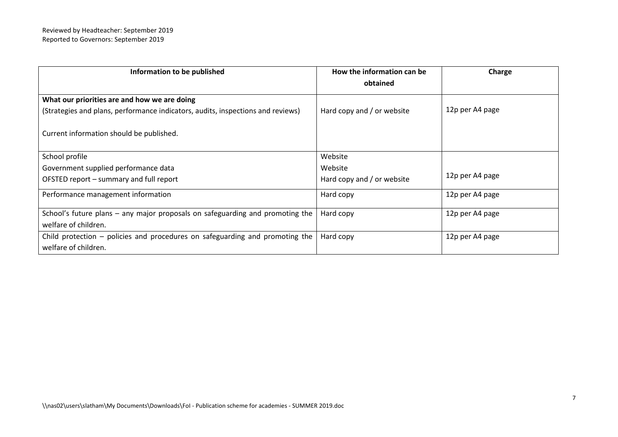| Information to be published                                                                                                     | How the information can be<br>obtained | Charge          |
|---------------------------------------------------------------------------------------------------------------------------------|----------------------------------------|-----------------|
| What our priorities are and how we are doing<br>(Strategies and plans, performance indicators, audits, inspections and reviews) | Hard copy and / or website             | 12p per A4 page |
| Current information should be published.                                                                                        |                                        |                 |
| School profile                                                                                                                  | Website                                |                 |
| Government supplied performance data                                                                                            | Website                                |                 |
| OFSTED report – summary and full report                                                                                         | Hard copy and / or website             | 12p per A4 page |
| Performance management information                                                                                              | Hard copy                              | 12p per A4 page |
| School's future plans – any major proposals on safeguarding and promoting the                                                   | Hard copy                              | 12p per A4 page |
| welfare of children.                                                                                                            |                                        |                 |
| Child protection – policies and procedures on safeguarding and promoting the                                                    | Hard copy                              | 12p per A4 page |
| welfare of children.                                                                                                            |                                        |                 |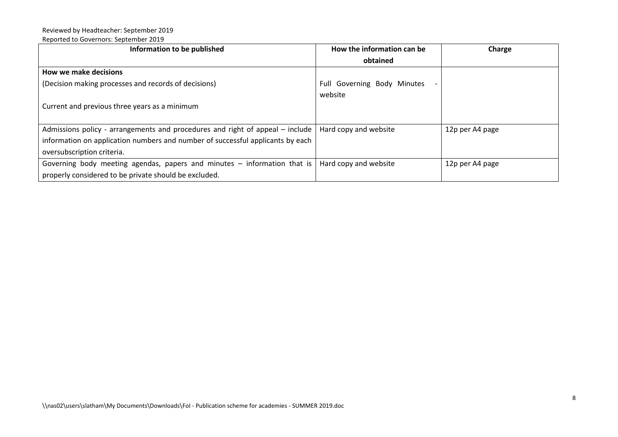## Reviewed by Headteacher: September 2019

Reported to Governors: September 2019

| Information to be published                                                    | How the information can be                              | Charge          |
|--------------------------------------------------------------------------------|---------------------------------------------------------|-----------------|
|                                                                                | obtained                                                |                 |
| How we make decisions                                                          |                                                         |                 |
| (Decision making processes and records of decisions)                           | Full Governing Body Minutes<br>$\overline{\phantom{a}}$ |                 |
|                                                                                | website                                                 |                 |
| Current and previous three years as a minimum                                  |                                                         |                 |
|                                                                                |                                                         |                 |
| Admissions policy - arrangements and procedures and right of appeal – include  | Hard copy and website                                   | 12p per A4 page |
| information on application numbers and number of successful applicants by each |                                                         |                 |
| oversubscription criteria.                                                     |                                                         |                 |
| Governing body meeting agendas, papers and minutes $-$ information that is $ $ | Hard copy and website                                   | 12p per A4 page |
| properly considered to be private should be excluded.                          |                                                         |                 |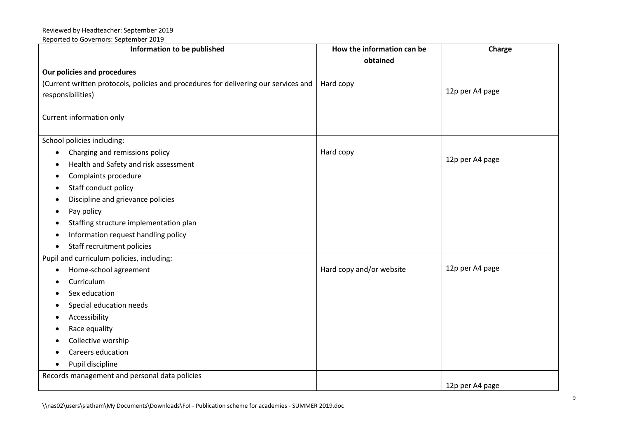# Reviewed by Headteacher: September 2019

Reported to Governors: September 2019

| Information to be published                                                         | How the information can be<br>obtained | Charge          |
|-------------------------------------------------------------------------------------|----------------------------------------|-----------------|
| Our policies and procedures                                                         |                                        |                 |
| (Current written protocols, policies and procedures for delivering our services and | Hard copy                              |                 |
| responsibilities)                                                                   |                                        | 12p per A4 page |
|                                                                                     |                                        |                 |
| Current information only                                                            |                                        |                 |
|                                                                                     |                                        |                 |
| School policies including:                                                          |                                        |                 |
| Charging and remissions policy<br>$\bullet$                                         | Hard copy                              |                 |
| Health and Safety and risk assessment<br>$\bullet$                                  |                                        | 12p per A4 page |
| Complaints procedure<br>$\bullet$                                                   |                                        |                 |
| Staff conduct policy<br>$\bullet$                                                   |                                        |                 |
| Discipline and grievance policies                                                   |                                        |                 |
| Pay policy<br>$\bullet$                                                             |                                        |                 |
| Staffing structure implementation plan<br>$\bullet$                                 |                                        |                 |
| Information request handling policy<br>$\bullet$                                    |                                        |                 |
| Staff recruitment policies<br>$\bullet$                                             |                                        |                 |
| Pupil and curriculum policies, including:                                           |                                        |                 |
| Home-school agreement<br>$\bullet$                                                  | Hard copy and/or website               | 12p per A4 page |
| Curriculum                                                                          |                                        |                 |
| Sex education<br>$\bullet$                                                          |                                        |                 |
| Special education needs<br>$\bullet$                                                |                                        |                 |
| Accessibility                                                                       |                                        |                 |
| Race equality                                                                       |                                        |                 |
| Collective worship                                                                  |                                        |                 |
| Careers education                                                                   |                                        |                 |
| Pupil discipline                                                                    |                                        |                 |
| Records management and personal data policies                                       |                                        |                 |
|                                                                                     |                                        | 12p per A4 page |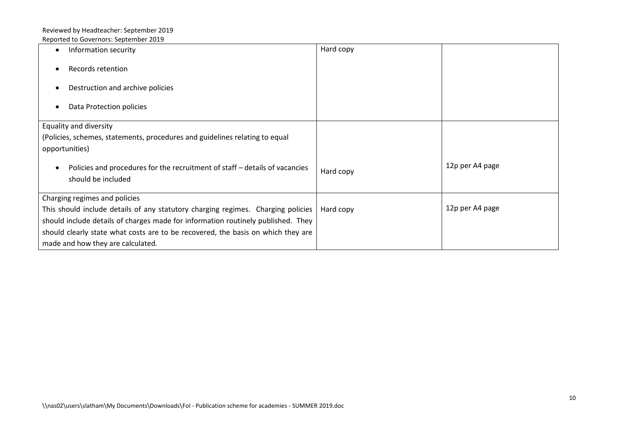#### Reviewed by Headteacher: September 2019 Reported to Governors: September 2019

| Information security<br>$\bullet$                                                                 | Hard copy |                 |
|---------------------------------------------------------------------------------------------------|-----------|-----------------|
| Records retention                                                                                 |           |                 |
| Destruction and archive policies                                                                  |           |                 |
| Data Protection policies                                                                          |           |                 |
| Equality and diversity                                                                            |           |                 |
| (Policies, schemes, statements, procedures and guidelines relating to equal                       |           |                 |
| opportunities)                                                                                    |           |                 |
| Policies and procedures for the recruitment of staff – details of vacancies<br>should be included | Hard copy | 12p per A4 page |
| Charging regimes and policies                                                                     |           |                 |
| This should include details of any statutory charging regimes. Charging policies                  | Hard copy | 12p per A4 page |
| should include details of charges made for information routinely published. They                  |           |                 |
| should clearly state what costs are to be recovered, the basis on which they are                  |           |                 |
| made and how they are calculated.                                                                 |           |                 |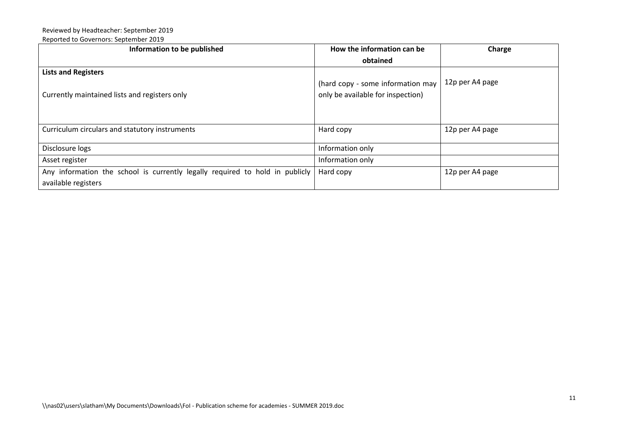| Reported to Governors: September 2019 |
|---------------------------------------|
|---------------------------------------|

| Information to be published                                                  | How the information can be        | Charge          |
|------------------------------------------------------------------------------|-----------------------------------|-----------------|
|                                                                              | obtained                          |                 |
| <b>Lists and Registers</b>                                                   |                                   |                 |
|                                                                              | (hard copy - some information may | 12p per A4 page |
| Currently maintained lists and registers only                                | only be available for inspection) |                 |
|                                                                              |                                   |                 |
|                                                                              |                                   |                 |
| Curriculum circulars and statutory instruments                               | Hard copy                         | 12p per A4 page |
| Disclosure logs                                                              | Information only                  |                 |
|                                                                              |                                   |                 |
| Asset register                                                               | Information only                  |                 |
| Any information the school is currently legally required to hold in publicly | Hard copy                         | 12p per A4 page |
| available registers                                                          |                                   |                 |